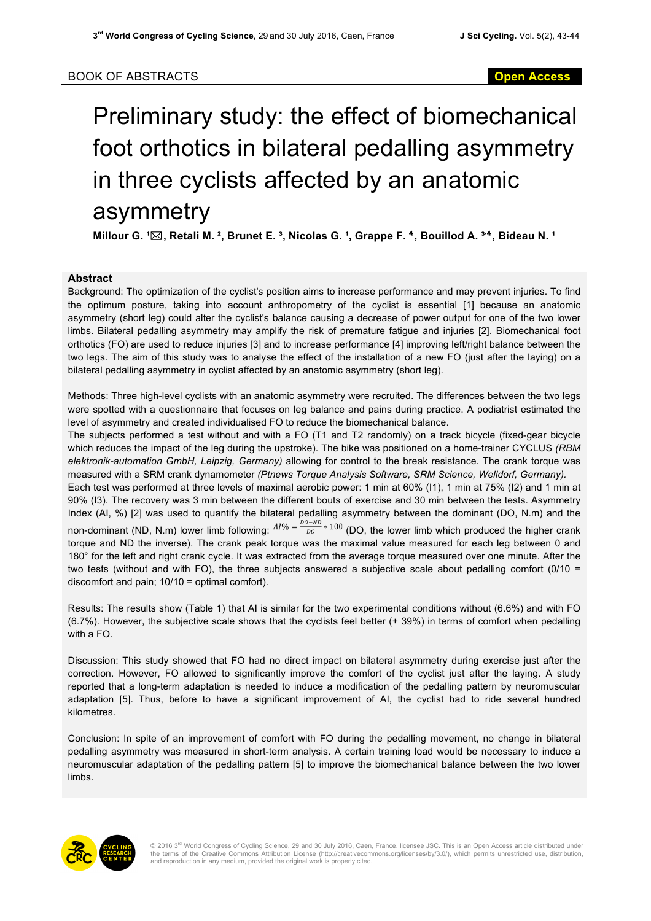## Preliminary study: the effect of biomechanical foot orthotics in bilateral pedalling asymmetry in three cyclists affected by an anatomic asymmetry

**Millour G. <sup>1</sup>** $\boxtimes$ **, Retali M. <sup>2</sup>, Brunet E. <sup>3</sup>, Nicolas G. <sup>1</sup>, Grappe F. <sup>4</sup>, Bouillod A. <sup>3,4</sup>, Bideau N. <sup>1</sup>** 

## **Abstract**

Background: The optimization of the cyclist's position aims to increase performance and may prevent injuries. To find the optimum posture, taking into account anthropometry of the cyclist is essential [1] because an anatomic asymmetry (short leg) could alter the cyclist's balance causing a decrease of power output for one of the two lower limbs. Bilateral pedalling asymmetry may amplify the risk of premature fatigue and injuries [2]. Biomechanical foot orthotics (FO) are used to reduce injuries [3] and to increase performance [4] improving left/right balance between the two legs. The aim of this study was to analyse the effect of the installation of a new FO (just after the laying) on a bilateral pedalling asymmetry in cyclist affected by an anatomic asymmetry (short leg).

Methods: Three high-level cyclists with an anatomic asymmetry were recruited. The differences between the two legs were spotted with a questionnaire that focuses on leg balance and pains during practice. A podiatrist estimated the level of asymmetry and created individualised FO to reduce the biomechanical balance.

The subjects performed a test without and with a FO (T1 and T2 randomly) on a track bicycle (fixed-gear bicycle which reduces the impact of the leg during the upstroke). The bike was positioned on a home-trainer CYCLUS *(RBM elektronik-automation GmbH, Leipzig, Germany)* allowing for control to the break resistance. The crank torque was measured with a SRM crank dynamometer *(Ptnews Torque Analysis Software, SRM Science, Welldorf, Germany).* 

Each test was performed at three levels of maximal aerobic power: 1 min at 60% (I1), 1 min at 75% (I2) and 1 min at 90% (I3). The recovery was 3 min between the different bouts of exercise and 30 min between the tests. Asymmetry Index (AI, %) [2] was used to quantify the bilateral pedalling asymmetry between the dominant (DO, N.m) and the non-dominant (ND, N.m) lower limb following:  $A1\% = \frac{Do-ND}{DO} * 100$  (DO, the lower limb which produced the higher crank torque and ND the inverse). The crank peak torque was the maximal value measured for each leg between 0 and 180° for the left and right crank cycle. It was extracted from the average torque measured over one minute. After the two tests (without and with FO), the three subjects answered a subjective scale about pedalling comfort (0/10 = discomfort and pain; 10/10 = optimal comfort).

Results: The results show (Table 1) that AI is similar for the two experimental conditions without (6.6%) and with FO (6.7%). However, the subjective scale shows that the cyclists feel better (+ 39%) in terms of comfort when pedalling with a FO.

Discussion: This study showed that FO had no direct impact on bilateral asymmetry during exercise just after the correction. However, FO allowed to significantly improve the comfort of the cyclist just after the laying. A study reported that a long-term adaptation is needed to induce a modification of the pedalling pattern by neuromuscular adaptation [5]. Thus, before to have a significant improvement of AI, the cyclist had to ride several hundred kilometres.

Conclusion: In spite of an improvement of comfort with FO during the pedalling movement, no change in bilateral pedalling asymmetry was measured in short-term analysis. A certain training load would be necessary to induce a neuromuscular adaptation of the pedalling pattern [5] to improve the biomechanical balance between the two lower limbs.